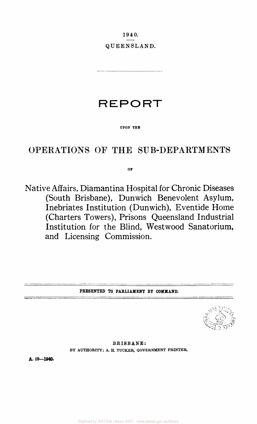**1940. QUEENSLAND.** 

**REPORT** 

**UPON THE** 

# OPERATIONS OF THE SUB-DEPARTMENTS

**OF** 

Native Affairs, Diamantina Hospital for Chronic Diseases (South Brisbane), Dunwich Benevolent Asylum, Inebriates Institution (Dunwich), Eventide Home (Charters Towers), Prisons Queensland Industrial Institution for the Blind, Westwood Sanatorium, and Licensing Commission.

**PRESENTED TO PARLIAMENT BY COMMAND.** 

**BRISBANE:**  BY AUTHORITY; A. H. TUCKER, GOVERNMENT PRINTER.

**A. 19—1940.**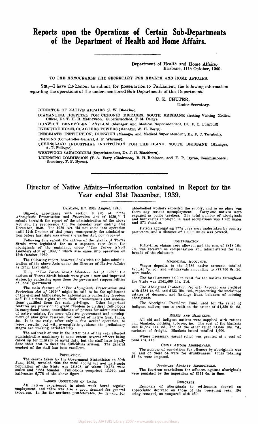# **Reports upon the Operations of Certain Sub-Departments of the Department of Health and Home Affairs.**

Department of Health and Home Affairs. Brisbane, 11th October, 1940.

# TO THE HONOURABLE THE SECRETARY FOR HEALTH AND HOME AFFAIRS.

SIR,—I have the honour to submit, for presentation to Parliament, the following information regarding the operations of the under-mentioned Sub-Departments of this Department.

C. E. CHUTER,

Under Secretary.

DIRECTOR OF NATIVE AFFAIRS (J. W. Bleakley).

DIAMANTINA HOSPITAL FOR CHRONIC DISEASES, SOUTH BRISBANE (Acting Visiting Medical Officer, Dr. T. H. R. Mathewson; Supermiendent, T. M. Daley).

DUNWICH BENEVOLENT ASYLUM (Manager and Medical Superintendent, Dr. F. C. Turnbull). EVENTIDE HOME, CHARTERS TOWERS (Manager, W. H. Berry).

INEBRIATE INSTITUTION, DUNWICH (Manager and Medical Superintendent, Dr. F. C. Turnbull).

PRISONS (Comptroller.General, J. F. Whitney).

QUEENSLAND INDUSTRIAL INSTITUTION FOR THE BLIND, SOUTH BRISBANE (Manager, A. T. Fullagar).

WESTWOOD SANATORIUM (Superintendent, Dr. J. H. Blackburn).

LICENSING COMMISSION (T. A. Ferry (Chairman), R. H. Robinson, and F. P. Byrne, Commissioners; Secretary, F. P. Byrne).

# **Director of Native Affairs—Information contained in Report for the Year ended 31st December, 1939.**

Brisbane, B.7, 20th August, 1940.

SIR,—In accordance with section 6 (2) of "The *Aboriginals Preservation and Protection Act of* 1939," I submit herewith the report of the administration of the above Act and its predecessor for the calendar year ending 31

Following this repeal, the natives of the islands of Torres<br>Strait were legislated for as a separate race from the<br>aboriginals of the mainland, under "The Torres Strait<br>Islanders dot of 1939," which also came into operatio

The following report, however, deals with the joint adminis-tration of the above Acts under the Director of Native Affairs as from that date.

Under *" The Torres Strait Islanders Act of* 1939" the natives of Torres Strait islands were given a new and improved status, by conferring upon them the powers and responsibilities of local government.

The main feature of "The Aboriginals Preservation and<br>Protection Act of 1939" might be said to be the upliftment<br>of the civilised half-castes, by automatically conferring freedom<br>and full citizen rights where their circum

The outbreak of war in the latter part of the year affected<br>administrative machinery to some extent, several officers being<br>called up for military or naval duty, but the staff have loyally<br>done their best to meet the diffi conduct of the staff has been excellent.

# POPULATION.

The census taken by the Government Statistician on 30th June, 1939, revealed that the total aboriginal and half-caste population of the State was 18,808, of whom 10,154 were males and 8,654 females. Full-bloods comprised 12,030, and half-castes 6,778 of the above figure.

### LABOUR CONDITIONS ON LAND.

All natives experienced in stock work found regular employment, and there was also a good demand for general labourers. In the far northern protectorates, the demand for able-bodied workers exceeded the supply, and in no place was<br>there any serious unemployment. Forty-one natives were<br>engaged as police trackers. The total number of aboriginals<br>and half-castes employed in land occupations w and 571 females.

Patrols aggregating 377} days were undertaken by country protectors, and a distance of 10,002 miles was covered.

### COMPENSATION.

Fifty-three claims were allowed, and the sum of £818 16s. 7d. was received as compensation and administered for the benefit of the claimants.

## ABORIGINAL ACCOUNTS.

Wages deposits to the 5,786 native accounts totalled £70,043 7s. 2d., and withdrawals amounting to £77,766 0s. 2d. were made.

The total amount held in trust for the natives throughout the State was £241,466 l1s. l1d.

The Aboriginal Protection Property Account was credited with £784 4s. 6d. and £133 19s. 10d., representing the unclaimed estates of deceased and Savings Bank balances of missing aboriginals.

The Aboriginal Provident Fund, used for the relief of indigent natives, was in credit to the extent of £1,350 6s. 6d.

### RELIEF AND BLANKETS.

All old and indigent natives were supplied with rations and blankets, clothing, tobacco, &c. The cost of the blankets was £1,867 lis. 5d., and of the other relief £1,845 18s. 7d., exclusive of freight. Blankets issued totalled 1,900.

Where necessary, casual relief was granted at a cost of £343 16s. l1d.

## CRIME AMONG ABORIGINALS.

The number of convictions for offences by aboriginals was 68, and of these 54 were for drunkenness. Fines totalling £7 6s. were imposed.

# OFFENCES AGAINST ABORIGINALS.

The fourteen convictions for offences against aboriginals were punished by the imposition of £111 6s. in fines.

### REMOVALS.

Removals of aboriginals to settlements showed an appreciable decrease on those of the preceding year, 194 being removed, as compared with 250.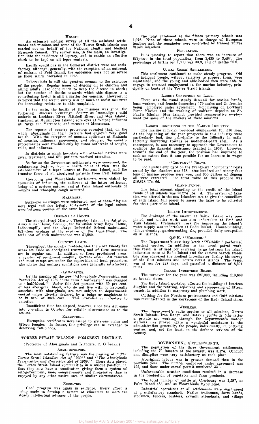HEALTH. An extensive medical survey of all the mainland settlements and missions and some of the Torres Strait islands was carried out on behalf of the National Health and Medical Research Council. The survey was, in the main, an investigation into the incidence of leprosy, and to enable an effective check to be kept on all leper contacts.

Health conditions in the Somerset district were not satisfactory, although, generally, with the exception of an outbreak of malaria at Poid Island, the epidemics were not as severe as those which prevailed in 1938.

Tuberculosis is still the greatest menace to the existence<br>of the people. Regular issues of dugong oil to children and<br>ailing adults have done much to keep the disease in check;<br>but the number of deaths towards which this for increasing resistance to this complaint.

In the main, the health of the missions was good, the<br>following illnesses occurring:—Seurvy at Doomadgee; mild<br>malaria at Lockhart River, Mitchell River, and Moa Island;<br>trachoma at Mornington Island; sore eyes at Weipa; i

The reports of country protectors revealed that, on the<br>whole, aboriginals in their districts had enjoyed very good<br>health. With the exception of unusual epidemics at Malanda<br>of measles, influenza, pneumonia, and pleurisy, colds, and influenza.

In districts to which hospitals were attached natives were given treatment, and 671 patients received attention.

So far as the Government settlements were concerned, the outstanding feature, from a health point of view, was the establishment of a leper lazaret at Fantome Island, and the transfer there of all aboriginal patients from Peel Island.

Cherbourg and Woorabinda settlements were visited by epidemics of influenza, the outbreak at the latter settlement being of a serious nature; and at Palm Island outbreaks of mumps and whooping cough occurred.

MARRIAGES. Sixty-one marriages were celebrated, and of these fifty-six were legal and five tribal; forty-seven of the legal unions were between couples of the same breed.

# ORPHANS IN HOMES.

The Sacred Heart Mission, Thursday Island, the Salvation Army Girls' Home, Veronga, the Salvation Army Boys' Home, Indooroopilly, and the Purga Industrial School maintained fifty-four orphans at the expense of the Department. The total cost of such maintenance was £1,080.

### COUNTRY CAMPS.

Throughout the country protectorates there are twenty-five areas set aside as aboriginal reserves, and of these seventeen are in regular use. In addition to these proclaimed areas, a number of recognised camping grounds exist. All reserves and most camps are under the supervision of local protectors, who advise that sanitary conditions were generally satisfactory.

HALF-CASTES.<br>By the passing of the new "Aboriginals Preservation and<br>Protection Act of 1939," the term "half-caste" was changed<br>to "half-blood." Under this Act persons with 50 per cent.<br>or less aboriginal blood, who do not

Insufficient time has elapsed, however, since this Act came into operation in October for reliable observations as to the results.

## EXEMPTIONS.

Exemption certificates were issued to sixty-one males and fifteen females. In future, this privilege can be extended to deserving full-bloods.

### TORRES STRAIT ISLANDS—SOMERSET DISTRICT.

# (Protector of Aboriginals and Islanders, C. O'Leary.)

ADMINISTRATION.<br>The most outstanding feature was the passing of "The *Torres Strait Islanders Act of* 1939" and *"The Aboriginals Preservation and Protection Act of* 1939. " These Acts placed the Torres Strait Island communities in a unique position, in that they now have a constitution giving them a system of self-government, more comprehensive and progressive than is enjoyed by any other native race of similar circumstances.

### EDUCATION.

Good progress was again in evidence. Every effort is being made to develop a system of education to meet the steady intellectual advance of the people.

The total enrolment at the fifteen primary schools was 1,076. Nine of these schools were in charge of European teachers and the remainder were controlled by trained Torres Strait islanders.

# POPULATION.

It is pleasing to report that there was an increase of fifty-two in the total population, from 3,435 to 3,487. The percentage of births per 1,000 was 33.8, and of deaths 20.6.

# COWAL CREEK SETTLEMENT.

This settlement continued to make steady progress. Old and indigent people, without relatives to support them, were maintained, and the young and able-bodied men were able to engage in constant employment in the marine industry, principally on boats of the Torres Strait islands.

### LABOUR CONDITIONS ON LAND.

There was the usual steady demand for station hands, bush workers, and female domestics; 179 males and 24 females being employed under agreement. Goldmining on Lockhart River Mission and the working of wolfram deposits on St. Paul's Mission, Moa Island, provided remunerative employment for some of the workers of these missions.

### LABOUR CONDITIONS IN THE MARINE INDUSTRY.

The marine industry provided employment for 510 men.<br>At the beginning of the year prospects in this industry were<br>particularly bad, due principally to the difficulty in satisfactorily marketing trochus or mother of-pearl s to be paid.

### ' ' COMPANY ' ' BOATS.

The number employed on the twenty-six "company" boats<br>owned by the islanders was 378. One hundred and ninety-four<br>tons of marine produce were won, and 600 gallons of dugong<br>oil were extracted. The total value of this produ

# ISLAND FUNDS.

The total amount standing to the credit of the island funds of all islands was £3,274 15s. Id. The system of taxa-tion was altered in the new Islanders Act to give the councillors of each island full power to assess the taxes to be collected for their particular island.

### ISLAND IMPROVEMENTS.

The drainage of the swamp at Saibai Island was completed, and similar work was also undertaken at Poid and Yam Islands. Preliminary work for improving the island's water supply was undertaken at Badu Island. House-building on all islands.

# Q.G.K. "MELBIDIR."

The Department's auxiliary ketch "Melbidir" performed<br>excellent service. In addition to the usual patrol work,<br>this vessel is utilised for carrying cargo between the island<br>industries store at Badu Island and the various b

# ISLAND INDUSTRIES BOARD.

The turnover for the year was £27,009, including £13,662 at branch stores.

The Badu Island workshop effected the building of fourteen dinghies and the refitting, repairing and recoppering of fifteen vessels, in addition to carpentry and plumbing work.

Clothing for the Northern protectorates and Gulf missions was manufactured in the workrooms of the Badu Island store.

# WIRELESS.

The Department's radio service to all missions, Torres<br>Strait Islands, Iron Range, and Batavia goldfields (the latter<br>a private set working through the Department's mother<br>station) has proved again a wonderful assistance t country.

# GOVERNMENT SETTLEMENTS.

The population of the three Government settlements, including the 70 inmates of the lazaret, was 3,174. Conduct and discipline were very satisfactory at each place.

Aboriginal labour was in greater demand than in the previous year. The number employed under agreement was 455, and those under casual permit numbered 331.

Unfavourable weather conditions resulted in a decrease in the production of vegetable and farm products.

The total number of cattle at Cherbourg was 1,597, at Palm Island 483, and at Woorabinda 2,762 head.

Industrial operations at all settlements were maintained<br>at a satisfactory standard. Native tradesmen, farm hands,<br>stockmen, fencers, builders, sawmill attendants, and village